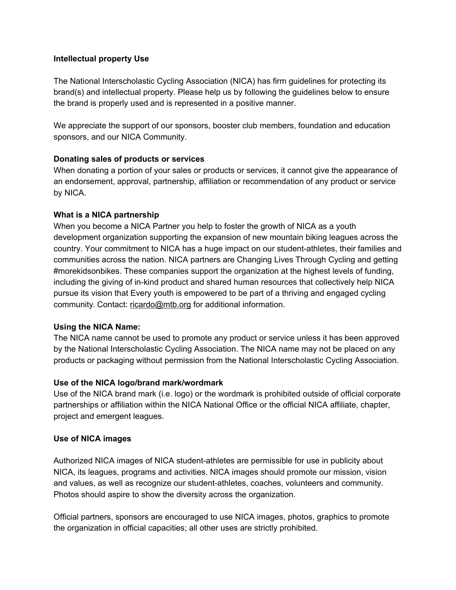#### **Intellectual property Use**

The National Interscholastic Cycling Association (NICA) has firm guidelines for protecting its brand(s) and intellectual property. Please help us by following the guidelines below to ensure the brand is properly used and is represented in a positive manner.

We appreciate the support of our sponsors, booster club members, foundation and education sponsors, and our NICA Community.

#### **Donating sales of products or services**

When donating a portion of your sales or products or services, it cannot give the appearance of an endorsement, approval, partnership, affiliation or recommendation of any product or service by NICA.

# **What is a NICA partnership**

When you become a NICA Partner you help to foster the growth of NICA as a youth development organization supporting the expansion of new mountain biking leagues across the country. Your commitment to NICA has a huge impact on our student-athletes, their families and communities across the nation. NICA partners are Changing Lives Through Cycling and getting #morekidsonbikes. These companies support the organization at the highest levels of funding, including the giving of in-kind product and shared human resources that collectively help NICA pursue its vision that Every youth is empowered to be part of a thriving and engaged cycling community. Contact: [ricardo@mtb.org](mailto:ricardo@mtb.org) for additional information.

#### **Using the NICA Name:**

The NICA name cannot be used to promote any product or service unless it has been approved by the National Interscholastic Cycling Association. The NICA name may not be placed on any products or packaging without permission from the National Interscholastic Cycling Association.

# **Use of the NICA logo/brand mark/wordmark**

Use of the NICA brand mark (i.e. logo) or the wordmark is prohibited outside of official corporate partnerships or affiliation within the NICA National Office or the official NICA affiliate, chapter, project and emergent leagues.

# **Use of NICA images**

Authorized NICA images of NICA student-athletes are permissible for use in publicity about NICA, its leagues, programs and activities. NICA images should promote our mission, vision and values, as well as recognize our student-athletes, coaches, volunteers and community. Photos should aspire to show the diversity across the organization.

Official partners, sponsors are encouraged to use NICA images, photos, graphics to promote the organization in official capacities; all other uses are strictly prohibited.